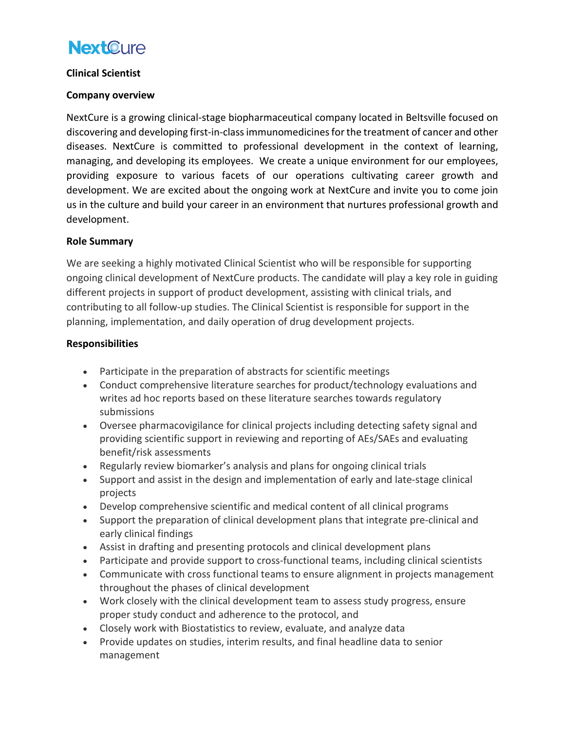## **NextOure**

#### **Clinical Scientist**

#### **Company overview**

NextCure is a growing clinical-stage biopharmaceutical company located in Beltsville focused on discovering and developing first-in-class immunomedicines for the treatment of cancer and other diseases. NextCure is committed to professional development in the context of learning, managing, and developing its employees. We create a unique environment for our employees, providing exposure to various facets of our operations cultivating career growth and development. We are excited about the ongoing work at NextCure and invite you to come join us in the culture and build your career in an environment that nurtures professional growth and development.

#### **Role Summary**

We are seeking a highly motivated Clinical Scientist who will be responsible for supporting ongoing clinical development of NextCure products. The candidate will play a key role in guiding different projects in support of product development, assisting with clinical trials, and contributing to all follow-up studies. The Clinical Scientist is responsible for support in the planning, implementation, and daily operation of drug development projects.

#### **Responsibilities**

- Participate in the preparation of abstracts for scientific meetings
- Conduct comprehensive literature searches for product/technology evaluations and writes ad hoc reports based on these literature searches towards regulatory submissions
- Oversee pharmacovigilance for clinical projects including detecting safety signal and providing scientific support in reviewing and reporting of AEs/SAEs and evaluating benefit/risk assessments
- Regularly review biomarker's analysis and plans for ongoing clinical trials
- Support and assist in the design and implementation of early and late-stage clinical projects
- Develop comprehensive scientific and medical content of all clinical programs
- Support the preparation of clinical development plans that integrate pre-clinical and early clinical findings
- Assist in drafting and presenting protocols and clinical development plans
- Participate and provide support to cross-functional teams, including clinical scientists
- Communicate with cross functional teams to ensure alignment in projects management throughout the phases of clinical development
- Work closely with the clinical development team to assess study progress, ensure proper study conduct and adherence to the protocol, and
- Closely work with Biostatistics to review, evaluate, and analyze data
- Provide updates on studies, interim results, and final headline data to senior management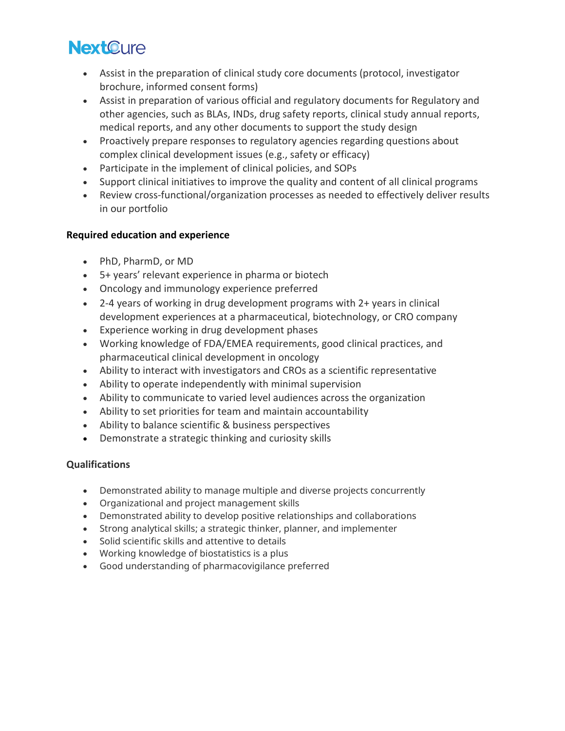# **NextOure**

- Assist in the preparation of clinical study core documents (protocol, investigator brochure, informed consent forms)
- Assist in preparation of various official and regulatory documents for Regulatory and other agencies, such as BLAs, INDs, drug safety reports, clinical study annual reports, medical reports, and any other documents to support the study design
- Proactively prepare responses to regulatory agencies regarding questions about complex clinical development issues (e.g., safety or efficacy)
- Participate in the implement of clinical policies, and SOPs
- Support clinical initiatives to improve the quality and content of all clinical programs
- Review cross-functional/organization processes as needed to effectively deliver results in our portfolio

## **Required education and experience**

- PhD, PharmD, or MD
- 5+ years' relevant experience in pharma or biotech
- Oncology and immunology experience preferred
- 2-4 years of working in drug development programs with 2+ years in clinical development experiences at a pharmaceutical, biotechnology, or CRO company
- Experience working in drug development phases
- Working knowledge of FDA/EMEA requirements, good clinical practices, and pharmaceutical clinical development in oncology
- Ability to interact with investigators and CROs as a scientific representative
- Ability to operate independently with minimal supervision
- Ability to communicate to varied level audiences across the organization
- Ability to set priorities for team and maintain accountability
- Ability to balance scientific & business perspectives
- Demonstrate a strategic thinking and curiosity skills

### **Qualifications**

- Demonstrated ability to manage multiple and diverse projects concurrently
- Organizational and project management skills
- Demonstrated ability to develop positive relationships and collaborations
- Strong analytical skills; a strategic thinker, planner, and implementer
- Solid scientific skills and attentive to details
- Working knowledge of biostatistics is a plus
- Good understanding of pharmacovigilance preferred